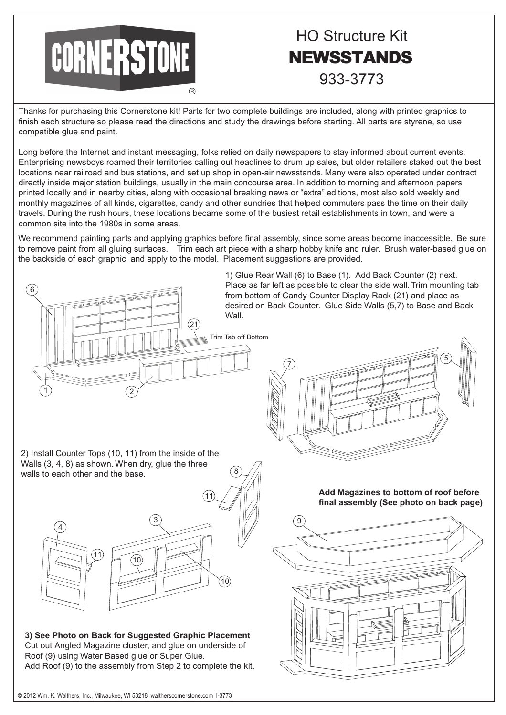

## HO Structure Kit NEWSSTANDS 933-3773

Thanks for purchasing this Cornerstone kit! Parts for two complete buildings are included, along with printed graphics to finish each structure so please read the directions and study the drawings before starting. All parts are styrene, so use compatible glue and paint.

Long before the Internet and instant messaging, folks relied on daily newspapers to stay informed about current events. Enterprising newsboys roamed their territories calling out headlines to drum up sales, but older retailers staked out the best locations near railroad and bus stations, and set up shop in open-air newsstands. Many were also operated under contract directly inside major station buildings, usually in the main concourse area. In addition to morning and afternoon papers printed locally and in nearby cities, along with occasional breaking news or "extra" editions, most also sold weekly and monthly magazines of all kinds, cigarettes, candy and other sundries that helped commuters pass the time on their daily travels. During the rush hours, these locations became some of the busiest retail establishments in town, and were a common site into the 1980s in some areas.

We recommend painting parts and applying graphics before final assembly, since some areas become inaccessible. Be sure to remove paint from all gluing surfaces. Trim each art piece with a sharp hobby knife and ruler. Brush water-based glue on the backside of each graphic, and apply to the model. Placement suggestions are provided.